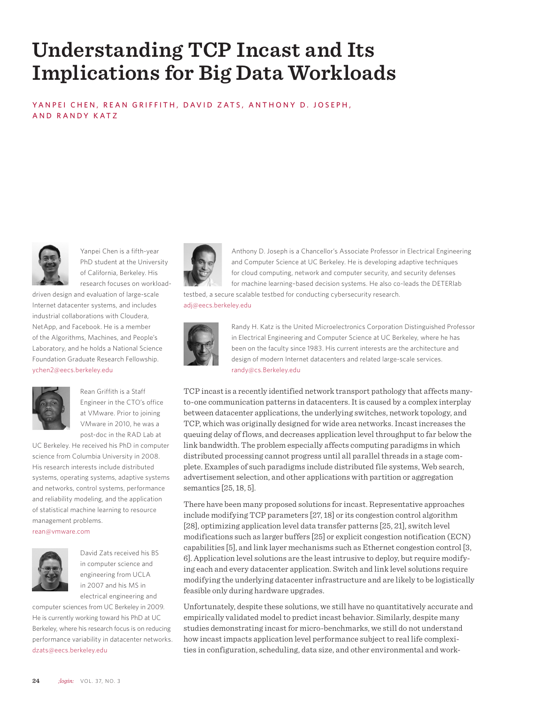# **Understanding TCP Incast and Its Implications for Big Data Workloads**

YANPEI CHEN, REAN GRIFFITH, DAVID ZATS, ANTHONY D. JOSEPH, AND RANDY KATZ



Yanpei Chen is a fifth-year PhD student at the University of California, Berkeley. His research focuses on workload-

driven design and evaluation of large-scale Internet datacenter systems, and includes industrial collaborations with Cloudera, NetApp, and Facebook. He is a member of the Algorithms, Machines, and People's Laboratory, and he holds a National Science Foundation Graduate Research Fellowship. ychen2@eecs.berkeley.edu



Rean Griffith is a Staff Engineer in the CTO's office at VMware. Prior to joining VMware in 2010, he was a post-doc in the RAD Lab at

UC Berkeley. He received his PhD in computer science from Columbia University in 2008. His research interests include distributed systems, operating systems, adaptive systems and networks, control systems, performance and reliability modeling, and the application of statistical machine learning to resource management problems.

rean@vmware.com



David Zats received his BS in computer science and engineering from UCLA in 2007 and his MS in electrical engineering and

computer sciences from UC Berkeley in 2009. He is currently working toward his PhD at UC Berkeley, where his research focus is on reducing performance variability in datacenter networks. dzats@eecs.berkeley.edu



Anthony D. Joseph is a Chancellor's Associate Professor in Electrical Engineering and Computer Science at UC Berkeley. He is developing adaptive techniques for cloud computing, network and computer security, and security defenses for machine learning–based decision systems. He also co-leads the DETERlab testbed, a secure scalable testbed for conducting cybersecurity research.

adj@eecs.berkeley.edu



Randy H. Katz is the United Microelectronics Corporation Distinguished Professor in Electrical Engineering and Computer Science at UC Berkeley, where he has been on the faculty since 1983. His current interests are the architecture and design of modern Internet datacenters and related large-scale services. randy@cs.Berkeley.edu

TCP incast is a recently identified network transport pathology that affects manyto-one communication patterns in datacenters. It is caused by a complex interplay between datacenter applications, the underlying switches, network topology, and TCP, which was originally designed for wide area networks. Incast increases the queuing delay of flows, and decreases application level throughput to far below the link bandwidth. The problem especially affects computing paradigms in which distributed processing cannot progress until all parallel threads in a stage complete. Examples of such paradigms include distributed file systems, Web search, advertisement selection, and other applications with partition or aggregation semantics [25, 18, 5].

There have been many proposed solutions for incast. Representative approaches include modifying TCP parameters [27, 18] or its congestion control algorithm [28], optimizing application level data transfer patterns [25, 21], switch level modifications such as larger buffers [25] or explicit congestion notification (ECN) capabilities [5], and link layer mechanisms such as Ethernet congestion control [3, 6]. Application level solutions are the least intrusive to deploy, but require modifying each and every datacenter application. Switch and link level solutions require modifying the underlying datacenter infrastructure and are likely to be logistically feasible only during hardware upgrades.

Unfortunately, despite these solutions, we still have no quantitatively accurate and empirically validated model to predict incast behavior. Similarly, despite many studies demonstrating incast for micro-benchmarks, we still do not understand how incast impacts application level performance subject to real life complexities in configuration, scheduling, data size, and other environmental and work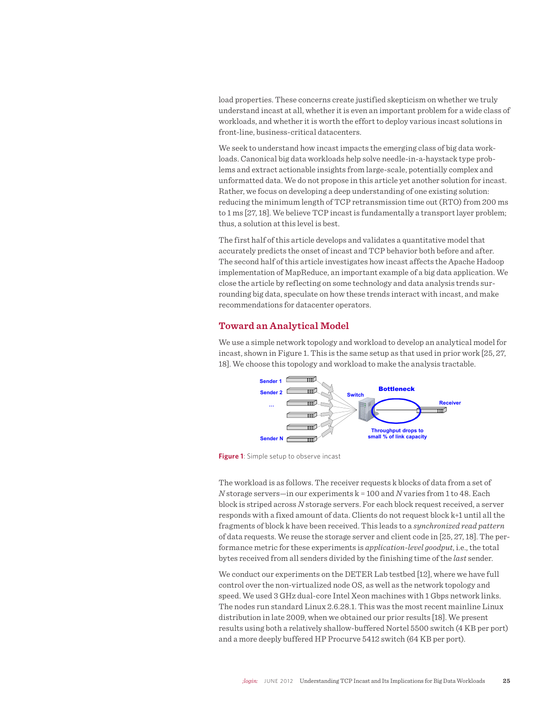load properties. These concerns create justified skepticism on whether we truly understand incast at all, whether it is even an important problem for a wide class of workloads, and whether it is worth the effort to deploy various incast solutions in front-line, business-critical datacenters.

We seek to understand how incast impacts the emerging class of big data workloads. Canonical big data workloads help solve needle-in-a-haystack type problems and extract actionable insights from large-scale, potentially complex and unformatted data. We do not propose in this article yet another solution for incast. Rather, we focus on developing a deep understanding of one existing solution: reducing the minimum length of TCP retransmission time out (RTO) from 200 ms to 1 ms [27, 18]. We believe TCP incast is fundamentally a transport layer problem; thus, a solution at this level is best.

The first half of this article develops and validates a quantitative model that accurately predicts the onset of incast and TCP behavior both before and after. The second half of this article investigates how incast affects the Apache Hadoop implementation of MapReduce, an important example of a big data application. We close the article by reflecting on some technology and data analysis trends surrounding big data, speculate on how these trends interact with incast, and make recommendations for datacenter operators.

# **Toward an Analytical Model**

We use a simple network topology and workload to develop an analytical model for incast, shown in Figure 1. This is the same setup as that used in prior work [25, 27, 18]. We choose this topology and workload to make the analysis tractable.



**Figure 1**: Simple setup to observe incast

The workload is as follows. The receiver requests k blocks of data from a set of *N* storage servers—in our experiments k = 100 and *N* varies from 1 to 48. Each block is striped across *N* storage servers. For each block request received, a server responds with a fixed amount of data. Clients do not request block k+1 until all the fragments of block k have been received. This leads to a *synchronized read pattern* of data requests. We reuse the storage server and client code in [25, 27, 18]. The performance metric for these experiments is *application-level goodput*, i.e., the total bytes received from all senders divided by the finishing time of the *last* sender.

We conduct our experiments on the DETER Lab testbed [12], where we have full control over the non-virtualized node OS, as well as the network topology and speed. We used 3 GHz dual-core Intel Xeon machines with 1 Gbps network links. The nodes run standard Linux 2.6.28.1. This was the most recent mainline Linux distribution in late 2009, when we obtained our prior results [18]. We present results using both a relatively shallow-buffered Nortel 5500 switch (4 KB per port) and a more deeply buffered HP Procurve 5412 switch (64 KB per port).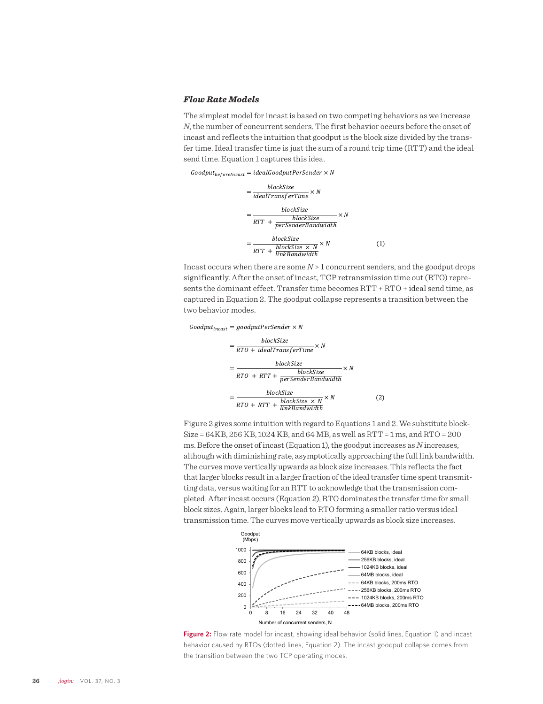## *Flow Rate Models*

The simplest model for incast is based on two competing behaviors as we increase *N*, the number of concurrent senders. The first behavior occurs before the onset of incast and reflects the intuition that goodput is the block size divided by the transfer time. Ideal transfer time is just the sum of a round trip time (RTT) and the ideal send time. Equation 1 captures this idea.

 $Goodput_{beforeIncast} = idealGoodputPerSender \times N$ 

$$
= \frac{blockSize}{idealTransferTime} \times N
$$
  
= 
$$
\frac{blockSize}{RTT + \frac{blockSize}{perSenderBandwidth}} \times N
$$
  
= 
$$
\frac{blockSize}{RTT + \frac{blockSize}{linkBandwidth}} \times N
$$
 (1)

Incast occurs when there are some *N* > 1 concurrent senders, and the goodput drops significantly. After the onset of incast, TCP retransmission time out (RTO) represents the dominant effect. Transfer time becomes RTT + RTO + ideal send time, as captured in Equation 2. The goodput collapse represents a transition between the two behavior modes.

 $Goodput_{incast} = goodputPerSender \times N$ 

$$
= \frac{blockSize}{RTO + idealTransferTime} \times N
$$
\n
$$
= \frac{blockSize}{RTO + RTT + \frac{blockSize}{perSenderBandwidth}} \times N
$$
\n
$$
= \frac{blockSize}{RTO + RTT + \frac{blockSize \times N}{linkBandwidth}} \times N
$$
\n(2)

Figure 2 gives some intuition with regard to Equations 1 and 2. We substitute block-Size = 64KB, 256 KB, 1024 KB, and 64 MB, as well as RTT = 1 ms, and RTO = 200 ms. Before the onset of incast (Equation 1), the goodput increases as *N* increases, although with diminishing rate, asymptotically approaching the full link bandwidth. The curves move vertically upwards as block size increases. This reflects the fact that larger blocks result in a larger fraction of the ideal transfer time spent transmitting data, versus waiting for an RTT to acknowledge that the transmission completed. After incast occurs (Equation 2), RTO dominates the transfer time for small block sizes. Again, larger blocks lead to RTO forming a smaller ratio versus ideal transmission time. The curves move vertically upwards as block size increases.



**Figure 2:** Flow rate model for incast, showing ideal behavior (solid lines, Equation 1) and incast behavior caused by RTOs (dotted lines, Equation 2). The incast goodput collapse comes from the transition between the two TCP operating modes.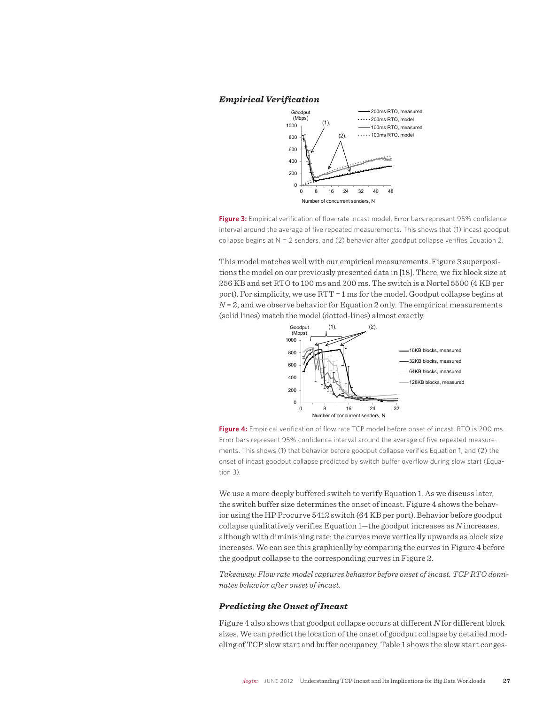# *Empirical Verification*



**Figure 3:** Empirical verification of flow rate incast model. Error bars represent 95% confidence interval around the average of five repeated measurements. This shows that (1) incast goodput collapse begins at  $N = 2$  senders, and (2) behavior after goodput collapse verifies Equation 2.

This model matches well with our empirical measurements. Figure 3 superpositions the model on our previously presented data in [18]. There, we fix block size at 256 KB and set RTO to 100 ms and 200 ms. The switch is a Nortel 5500 (4 KB per port). For simplicity, we use RTT = 1 ms for the model. Goodput collapse begins at  $N = 2$ , and we observe behavior for Equation 2 only. The empirical measurements (solid lines) match the model (dotted-lines) almost exactly.



**Figure 4:** Empirical verification of flow rate TCP model before onset of incast. RTO is 200 ms. Error bars represent 95% confidence interval around the average of five repeated measurements. This shows (1) that behavior before goodput collapse verifies Equation 1, and (2) the onset of incast goodput collapse predicted by switch buffer overflow during slow start (Equation 3).

We use a more deeply buffered switch to verify Equation 1. As we discuss later, the switch buffer size determines the onset of incast. Figure 4 shows the behavior using the HP Procurve 5412 switch (64 KB per port). Behavior before goodput collapse qualitatively verifies Equation 1—the goodput increases as *N* increases, although with diminishing rate; the curves move vertically upwards as block size increases. We can see this graphically by comparing the curves in Figure 4 before the goodput collapse to the corresponding curves in Figure 2.

*Takeaway: Flow rate model captures behavior before onset of incast. TCP RTO dominates behavior after onset of incast.* 

### *Predicting the Onset of Incast*

Figure 4 also shows that goodput collapse occurs at different *N* for different block sizes. We can predict the location of the onset of goodput collapse by detailed modeling of TCP slow start and buffer occupancy. Table 1 shows the slow start conges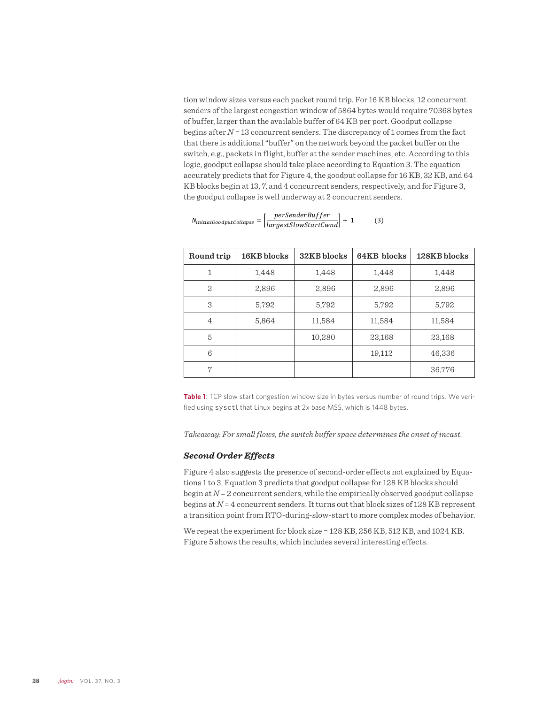tion window sizes versus each packet round trip. For 16 KB blocks, 12 concurrent senders of the largest congestion window of 5864 bytes would require 70368 bytes of buffer, larger than the available buffer of 64 KB per port. Goodput collapse begins after *N* = 13 concurrent senders. The discrepancy of 1 comes from the fact that there is additional "buffer" on the network beyond the packet buffer on the switch, e.g., packets in flight, buffer at the sender machines, etc. According to this logic, goodput collapse should take place according to Equation 3. The equation accurately predicts that for Figure 4, the goodput collapse for 16 KB, 32 KB, and 64 KB blocks begin at 13, 7, and 4 concurrent senders, respectively, and for Figure 3, the goodput collapse is well underway at 2 concurrent senders.

| Round trip     | 16KB blocks | 32KB blocks | 64KB blocks | 128KB blocks |
|----------------|-------------|-------------|-------------|--------------|
| 1              | 1,448       | 1.448       | 1.448       | 1,448        |
| $\mathbf{2}$   | 2,896       | 2,896       | 2,896       | 2,896        |
| 3              | 5,792       | 5,792       | 5,792       | 5,792        |
| $\overline{4}$ | 5,864       | 11,584      | 11,584      | 11,584       |
| 5              |             | 10,280      | 23,168      | 23,168       |
| 6              |             |             | 19,112      | 46,336       |
| 7              |             |             |             | 36,776       |

$$
N_{initialGood put collapse} = \left| \frac{perSenderBuffer}{largest SlowStartCwnd} \right| + 1 \tag{3}
$$

**Table 1**: TCP slow start congestion window size in bytes versus number of round trips. We verified using sysctl that Linux begins at 2x base MSS, which is 1448 bytes.

*Takeaway: For small flows, the switch buffer space determines the onset of incast.*

## *Second Order Effects*

Figure 4 also suggests the presence of second-order effects not explained by Equations 1 to 3. Equation 3 predicts that goodput collapse for 128 KB blocks should begin at *N* = 2 concurrent senders, while the empirically observed goodput collapse begins at *N* = 4 concurrent senders. It turns out that block sizes of 128 KB represent a transition point from RTO-during-slow-start to more complex modes of behavior.

We repeat the experiment for block size = 128 KB, 256 KB, 512 KB, and 1024 KB. Figure 5 shows the results, which includes several interesting effects.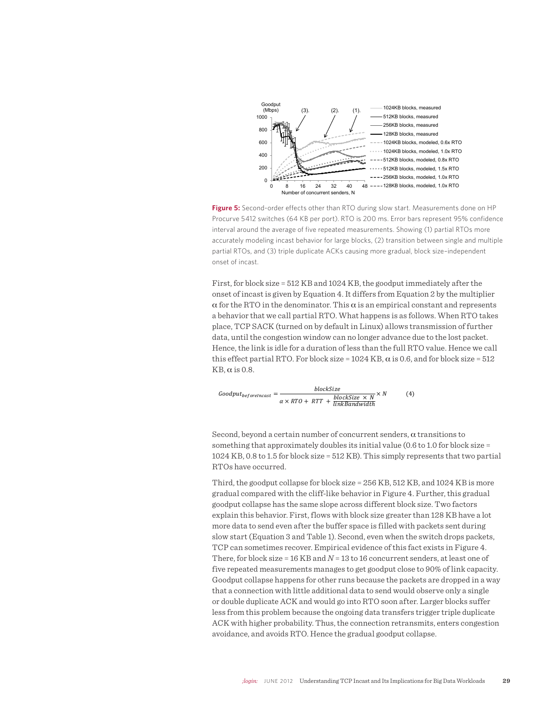

**Figure 5:** Second-order effects other than RTO during slow start. Measurements done on HP Procurve 5412 switches (64 KB per port). RTO is 200 ms. Error bars represent 95% confidence interval around the average of five repeated measurements. Showing (1) partial RTOs more accurately modeling incast behavior for large blocks, (2) transition between single and multiple partial RTOs, and (3) triple duplicate ACKs causing more gradual, block size–independent onset of incast.

First, for block size = 512 KB and 1024 KB, the goodput immediately after the onset of incast is given by Equation 4. It differs from Equation 2 by the multiplier  $\alpha$  for the RTO in the denominator. This  $\alpha$  is an empirical constant and represents a behavior that we call partial RTO. What happens is as follows. When RTO takes place, TCP SACK (turned on by default in Linux) allows transmission of further data, until the congestion window can no longer advance due to the lost packet. Hence, the link is idle for a duration of less than the full RTO value. Hence we call this effect partial RTO. For block size =  $1024$  KB,  $\alpha$  is 0.6, and for block size =  $512$  $KB, \alpha$  is 0.8.

$$
Goodput_{beforeIncast} = \frac{blockSize}{\alpha \times RTO + RTT + \frac{blockSize \times N}{linkBandwidth}} \times N
$$
 (4)

Second, beyond a certain number of concurrent senders,  $\alpha$  transitions to something that approximately doubles its initial value (0.6 to 1.0 for block size = 1024 KB, 0.8 to 1.5 for block size = 512 KB). This simply represents that two partial RTOs have occurred.

Third, the goodput collapse for block size = 256 KB, 512 KB, and 1024 KB is more gradual compared with the cliff-like behavior in Figure 4. Further, this gradual goodput collapse has the same slope across different block size. Two factors explain this behavior. First, flows with block size greater than 128 KB have a lot more data to send even after the buffer space is filled with packets sent during slow start (Equation 3 and Table 1). Second, even when the switch drops packets, TCP can sometimes recover. Empirical evidence of this fact exists in Figure 4. There, for block size = 16 KB and *N* = 13 to 16 concurrent senders, at least one of five repeated measurements manages to get goodput close to 90% of link capacity. Goodput collapse happens for other runs because the packets are dropped in a way that a connection with little additional data to send would observe only a single or double duplicate ACK and would go into RTO soon after. Larger blocks suffer less from this problem because the ongoing data transfers trigger triple duplicate ACK with higher probability. Thus, the connection retransmits, enters congestion avoidance, and avoids RTO. Hence the gradual goodput collapse.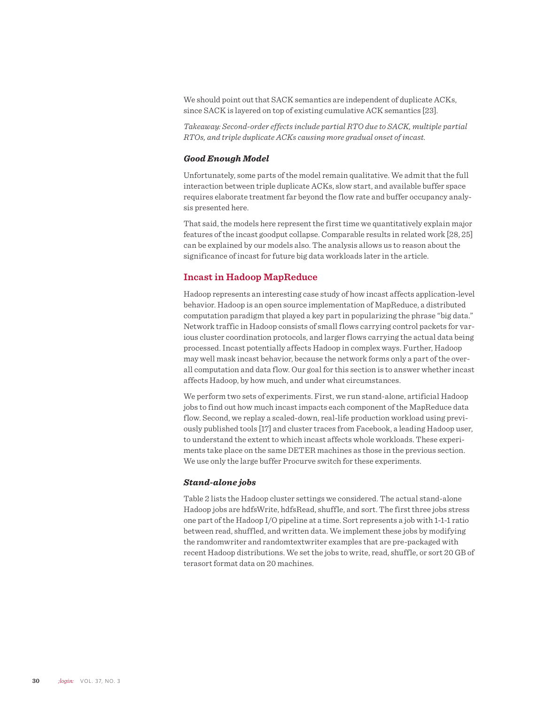We should point out that SACK semantics are independent of duplicate ACKs, since SACK is layered on top of existing cumulative ACK semantics [23].

*Takeaway: Second-order effects include partial RTO due to SACK, multiple partial RTOs, and triple duplicate ACKs causing more gradual onset of incast.* 

### *Good Enough Model*

Unfortunately, some parts of the model remain qualitative. We admit that the full interaction between triple duplicate ACKs, slow start, and available buffer space requires elaborate treatment far beyond the flow rate and buffer occupancy analysis presented here.

That said, the models here represent the first time we quantitatively explain major features of the incast goodput collapse. Comparable results in related work [28, 25] can be explained by our models also. The analysis allows us to reason about the significance of incast for future big data workloads later in the article.

## **Incast in Hadoop MapReduce**

Hadoop represents an interesting case study of how incast affects application-level behavior. Hadoop is an open source implementation of MapReduce, a distributed computation paradigm that played a key part in popularizing the phrase "big data." Network traffic in Hadoop consists of small flows carrying control packets for various cluster coordination protocols, and larger flows carrying the actual data being processed. Incast potentially affects Hadoop in complex ways. Further, Hadoop may well mask incast behavior, because the network forms only a part of the overall computation and data flow. Our goal for this section is to answer whether incast affects Hadoop, by how much, and under what circumstances.

We perform two sets of experiments. First, we run stand-alone, artificial Hadoop jobs to find out how much incast impacts each component of the MapReduce data flow. Second, we replay a scaled-down, real-life production workload using previously published tools [17] and cluster traces from Facebook, a leading Hadoop user, to understand the extent to which incast affects whole workloads. These experiments take place on the same DETER machines as those in the previous section. We use only the large buffer Procurve switch for these experiments.

## *Stand-alone jobs*

Table 2 lists the Hadoop cluster settings we considered. The actual stand-alone Hadoop jobs are hdfsWrite, hdfsRead, shuffle, and sort. The first three jobs stress one part of the Hadoop I/O pipeline at a time. Sort represents a job with 1-1-1 ratio between read, shuffled, and written data. We implement these jobs by modifying the randomwriter and randomtextwriter examples that are pre-packaged with recent Hadoop distributions. We set the jobs to write, read, shuffle, or sort 20 GB of terasort format data on 20 machines.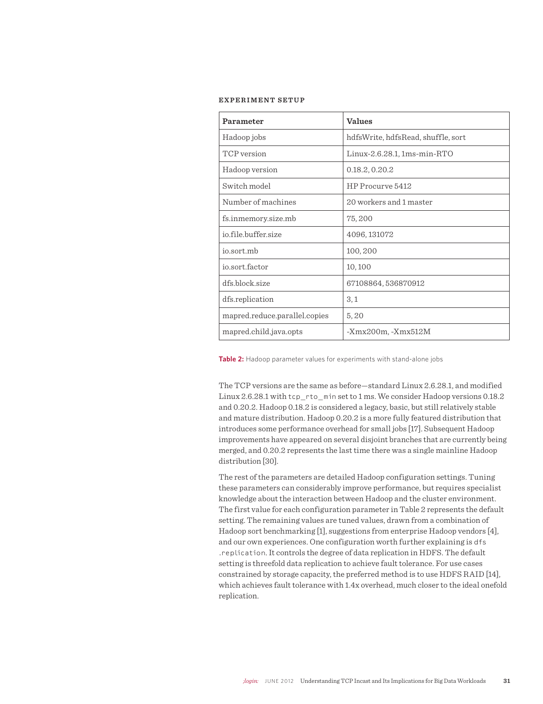#### **EXPERIMENT SETUP**

| Parameter                     | <b>Values</b>                      |  |
|-------------------------------|------------------------------------|--|
| Hadoop jobs                   | hdfsWrite, hdfsRead, shuffle, sort |  |
| TCP version                   | Linux-2.6.28.1, 1ms-min-RTO        |  |
| Hadoop version                | 0.18.2, 0.20.2                     |  |
| Switch model                  | HP Procurve 5412                   |  |
| Number of machines            | 20 workers and 1 master            |  |
| fs.inmemory.size.mb           | 75,200                             |  |
| io.file.buffer.size           | 4096, 131072                       |  |
| io.sort.mb                    | 100,200                            |  |
| io.sort.factor                | 10,100                             |  |
| dfs.block.size                | 67108864, 536870912                |  |
| dfs.replication               | 3,1                                |  |
| mapred.reduce.parallel.copies | 5,20                               |  |
| mapred.child.java.opts        | $-Xmx200m$ , $-Xmx512M$            |  |

**Table 2:** Hadoop parameter values for experiments with stand-alone jobs

The TCP versions are the same as before—standard Linux 2.6.28.1, and modified Linux 2.6.28.1 with tcp\_rto\_min set to 1 ms. We consider Hadoop versions 0.18.2 and 0.20.2. Hadoop 0.18.2 is considered a legacy, basic, but still relatively stable and mature distribution. Hadoop 0.20.2 is a more fully featured distribution that introduces some performance overhead for small jobs [17]. Subsequent Hadoop improvements have appeared on several disjoint branches that are currently being merged, and 0.20.2 represents the last time there was a single mainline Hadoop distribution [30].

The rest of the parameters are detailed Hadoop configuration settings. Tuning these parameters can considerably improve performance, but requires specialist knowledge about the interaction between Hadoop and the cluster environment. The first value for each configuration parameter in Table 2 represents the default setting. The remaining values are tuned values, drawn from a combination of Hadoop sort benchmarking [1], suggestions from enterprise Hadoop vendors [4], and our own experiences. One configuration worth further explaining is dfs .replication. It controls the degree of data replication in HDFS. The default setting is threefold data replication to achieve fault tolerance. For use cases constrained by storage capacity, the preferred method is to use HDFS RAID [14], which achieves fault tolerance with 1.4x overhead, much closer to the ideal onefold replication.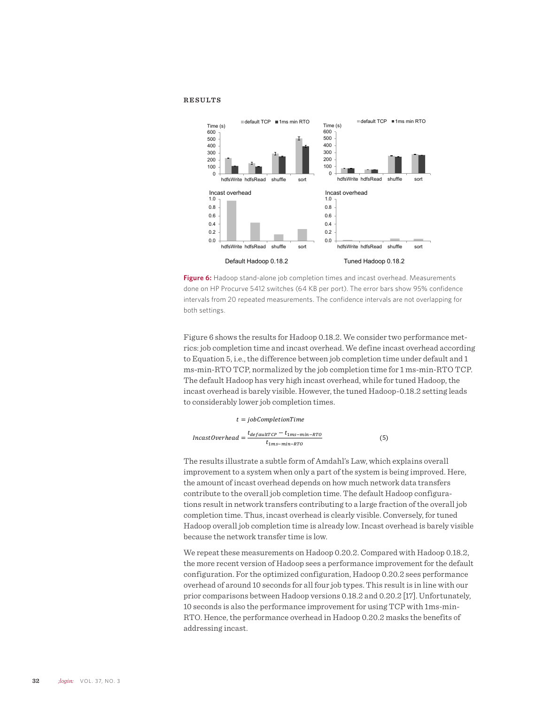#### **RESULTS**



**Figure 6:** Hadoop stand-alone job completion times and incast overhead. Measurements done on HP Procurve 5412 switches (64 KB per port). The error bars show 95% confidence intervals from 20 repeated measurements. The confidence intervals are not overlapping for both settings.

Figure 6 shows the results for Hadoop 0.18.2. We consider two performance metrics: job completion time and incast overhead. We define incast overhead according to Equation 5, i.e., the difference between job completion time under default and 1 ms-min-RTO TCP, normalized by the job completion time for 1 ms-min-RTO TCP. The default Hadoop has very high incast overhead, while for tuned Hadoop, the incast overhead is barely visible. However, the tuned Hadoop-0.18.2 setting leads to considerably lower job completion times.

#### $t = jobCompletionTime$

$$
IncastOverhead = \frac{t_{defaultTCP} - t_{1ms-min-RTO}}{t_{1ms-min-RTO}} \tag{5}
$$

The results illustrate a subtle form of Amdahl's Law, which explains overall improvement to a system when only a part of the system is being improved. Here, the amount of incast overhead depends on how much network data transfers contribute to the overall job completion time. The default Hadoop configurations result in network transfers contributing to a large fraction of the overall job completion time. Thus, incast overhead is clearly visible. Conversely, for tuned Hadoop overall job completion time is already low. Incast overhead is barely visible because the network transfer time is low.

We repeat these measurements on Hadoop 0.20.2. Compared with Hadoop 0.18.2, the more recent version of Hadoop sees a performance improvement for the default configuration. For the optimized configuration, Hadoop 0.20.2 sees performance overhead of around 10 seconds for all four job types. This result is in line with our prior comparisons between Hadoop versions 0.18.2 and 0.20.2 [17]. Unfortunately, 10 seconds is also the performance improvement for using TCP with 1ms-min-RTO. Hence, the performance overhead in Hadoop 0.20.2 masks the benefits of addressing incast.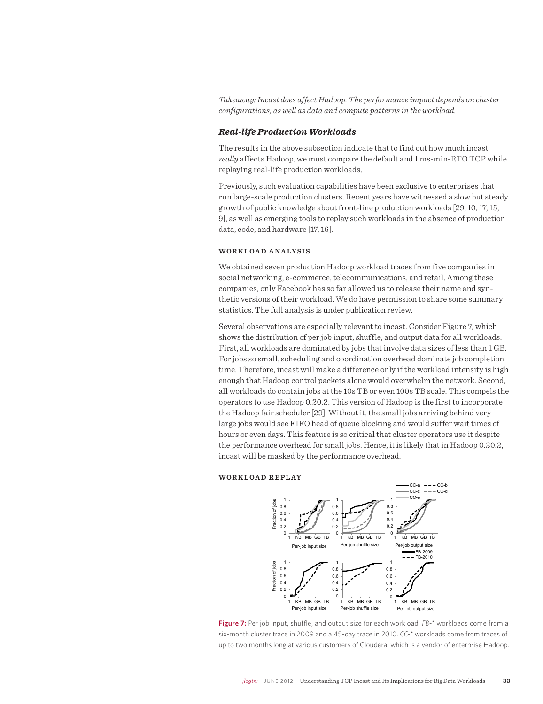*Takeaway: Incast does affect Hadoop. The performance impact depends on cluster configurations, as well as data and compute patterns in the workload.* 

#### *Real-life Production Workloads*

The results in the above subsection indicate that to find out how much incast *really* affects Hadoop, we must compare the default and 1 ms-min-RTO TCP while replaying real-life production workloads.

Previously, such evaluation capabilities have been exclusive to enterprises that run large-scale production clusters. Recent years have witnessed a slow but steady growth of public knowledge about front-line production workloads [29, 10, 17, 15, 9], as well as emerging tools to replay such workloads in the absence of production data, code, and hardware [17, 16].

#### **WOR KLOAD ANALYSIS**

We obtained seven production Hadoop workload traces from five companies in social networking, e-commerce, telecommunications, and retail. Among these companies, only Facebook has so far allowed us to release their name and synthetic versions of their workload. We do have permission to share some summary statistics. The full analysis is under publication review.

Several observations are especially relevant to incast. Consider Figure 7, which shows the distribution of per job input, shuffle, and output data for all workloads. First, all workloads are dominated by jobs that involve data sizes of less than 1 GB. For jobs so small, scheduling and coordination overhead dominate job completion time. Therefore, incast will make a difference only if the workload intensity is high enough that Hadoop control packets alone would overwhelm the network. Second, all workloads do contain jobs at the 10s TB or even 100s TB scale. This compels the operators to use Hadoop 0.20.2. This version of Hadoop is the first to incorporate the Hadoop fair scheduler [29]. Without it, the small jobs arriving behind very large jobs would see FIFO head of queue blocking and would suffer wait times of hours or even days. This feature is so critical that cluster operators use it despite the performance overhead for small jobs. Hence, it is likely that in Hadoop 0.20.2, incast will be masked by the performance overhead.

#### **WORKLOAD REPLAY**



**Figure 7:** Per job input, shuffle, and output size for each workload. *FB-\** workloads come from a six-month cluster trace in 2009 and a 45-day trace in 2010. *CC-\** workloads come from traces of up to two months long at various customers of Cloudera, which is a vendor of enterprise Hadoop.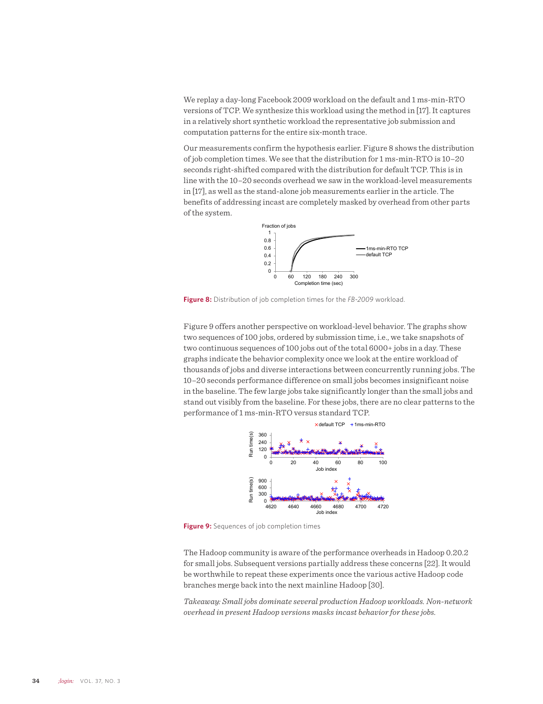We replay a day-long Facebook 2009 workload on the default and 1 ms-min-RTO versions of TCP. We synthesize this workload using the method in [17]. It captures in a relatively short synthetic workload the representative job submission and computation patterns for the entire six-month trace.

Our measurements confirm the hypothesis earlier. Figure 8 shows the distribution of job completion times. We see that the distribution for 1 ms-min-RTO is 10–20 seconds right-shifted compared with the distribution for default TCP. This is in line with the 10–20 seconds overhead we saw in the workload-level measurements in [17], as well as the stand-alone job measurements earlier in the article. The benefits of addressing incast are completely masked by overhead from other parts of the system.



**Figure 8:** Distribution of job completion times for the *FB-2009* workload.

Figure 9 offers another perspective on workload-level behavior. The graphs show two sequences of 100 jobs, ordered by submission time, i.e., we take snapshots of two continuous sequences of 100 jobs out of the total 6000+ jobs in a day. These graphs indicate the behavior complexity once we look at the entire workload of thousands of jobs and diverse interactions between concurrently running jobs. The 10–20 seconds performance difference on small jobs becomes insignificant noise in the baseline. The few large jobs take significantly longer than the small jobs and stand out visibly from the baseline. For these jobs, there are no clear patterns to the performance of 1 ms-min-RTO versus standard TCP.



**Figure 9:** Sequences of job completion times

The Hadoop community is aware of the performance overheads in Hadoop 0.20.2 for small jobs. Subsequent versions partially address these concerns [22]. It would be worthwhile to repeat these experiments once the various active Hadoop code branches merge back into the next mainline Hadoop [30].

*Takeaway: Small jobs dominate several production Hadoop workloads. Non-network overhead in present Hadoop versions masks incast behavior for these jobs.*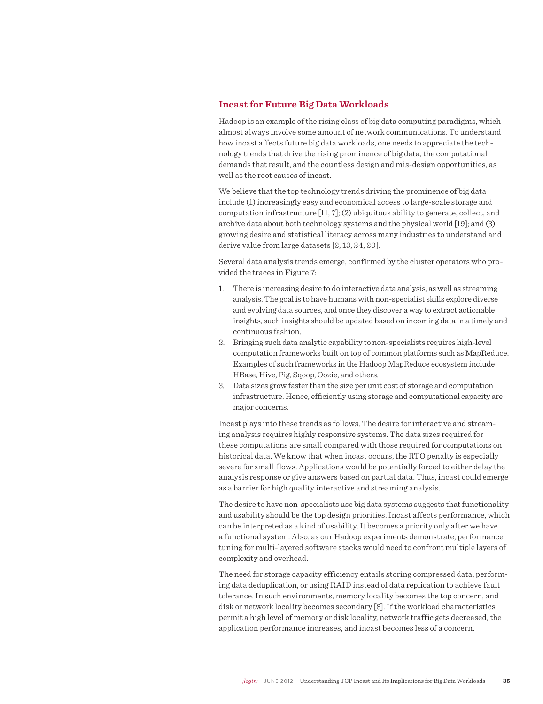# **Incast for Future Big Data Workloads**

Hadoop is an example of the rising class of big data computing paradigms, which almost always involve some amount of network communications. To understand how incast affects future big data workloads, one needs to appreciate the technology trends that drive the rising prominence of big data, the computational demands that result, and the countless design and mis-design opportunities, as well as the root causes of incast.

We believe that the top technology trends driving the prominence of big data include (1) increasingly easy and economical access to large-scale storage and computation infrastructure [11, 7]; (2) ubiquitous ability to generate, collect, and archive data about both technology systems and the physical world [19]; and (3) growing desire and statistical literacy across many industries to understand and derive value from large datasets [2, 13, 24, 20].

Several data analysis trends emerge, confirmed by the cluster operators who provided the traces in Figure 7:

- 1. There is increasing desire to do interactive data analysis, as well as streaming analysis. The goal is to have humans with non-specialist skills explore diverse and evolving data sources, and once they discover a way to extract actionable insights, such insights should be updated based on incoming data in a timely and continuous fashion.
- 2. Bringing such data analytic capability to non-specialists requires high-level computation frameworks built on top of common platforms such as MapReduce. Examples of such frameworks in the Hadoop MapReduce ecosystem include HBase, Hive, Pig, Sqoop, Oozie, and others.
- 3. Data sizes grow faster than the size per unit cost of storage and computation infrastructure. Hence, efficiently using storage and computational capacity are major concerns.

Incast plays into these trends as follows. The desire for interactive and streaming analysis requires highly responsive systems. The data sizes required for these computations are small compared with those required for computations on historical data. We know that when incast occurs, the RTO penalty is especially severe for small flows. Applications would be potentially forced to either delay the analysis response or give answers based on partial data. Thus, incast could emerge as a barrier for high quality interactive and streaming analysis.

The desire to have non-specialists use big data systems suggests that functionality and usability should be the top design priorities. Incast affects performance, which can be interpreted as a kind of usability. It becomes a priority only after we have a functional system. Also, as our Hadoop experiments demonstrate, performance tuning for multi-layered software stacks would need to confront multiple layers of complexity and overhead.

The need for storage capacity efficiency entails storing compressed data, performing data deduplication, or using RAID instead of data replication to achieve fault tolerance. In such environments, memory locality becomes the top concern, and disk or network locality becomes secondary [8]. If the workload characteristics permit a high level of memory or disk locality, network traffic gets decreased, the application performance increases, and incast becomes less of a concern.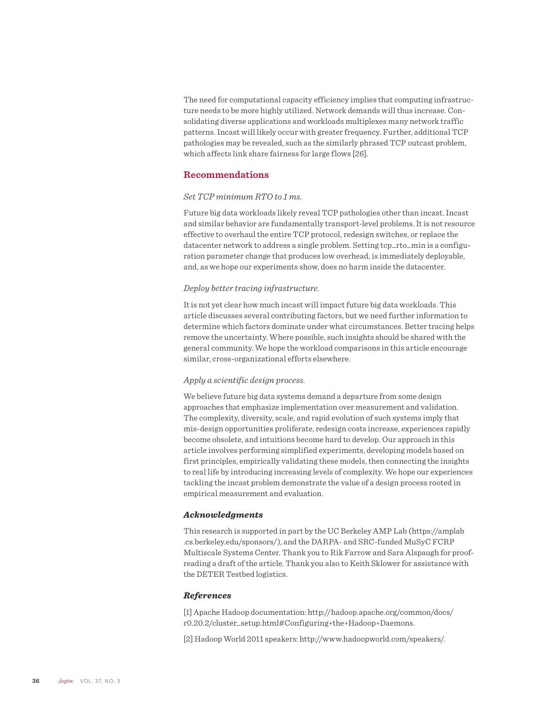The need for computational capacity efficiency implies that computing infrastructure needs to be more highly utilized. Network demands will thus increase. Consolidating diverse applications and workloads multiplexes many network traffic patterns. Incast will likely occur with greater frequency. Further, additional TCP pathologies may be revealed, such as the similarly phrased TCP outcast problem, which affects link share fairness for large flows [26].

# **Recommendations**

### *Set TCP minimum RTO to 1 ms.*

Future big data workloads likely reveal TCP pathologies other than incast. Incast and similar behavior are fundamentally transport-level problems. It is not resource effective to overhaul the entire TCP protocol, redesign switches, or replace the datacenter network to address a single problem. Setting tcp\_rto\_min is a configuration parameter change that produces low overhead, is immediately deployable, and, as we hope our experiments show, does no harm inside the datacenter.

## *Deploy better tracing infrastructure.*

It is not yet clear how much incast will impact future big data workloads. This article discusses several contributing factors, but we need further information to determine which factors dominate under what circumstances. Better tracing helps remove the uncertainty. Where possible, such insights should be shared with the general community. We hope the workload comparisons in this article encourage similar, cross-organizational efforts elsewhere.

## *Apply a scientific design process.*

We believe future big data systems demand a departure from some design approaches that emphasize implementation over measurement and validation. The complexity, diversity, scale, and rapid evolution of such systems imply that mis-design opportunities proliferate, redesign costs increase, experiences rapidly become obsolete, and intuitions become hard to develop. Our approach in this article involves performing simplified experiments, developing models based on first principles, empirically validating these models, then connecting the insights to real life by introducing increasing levels of complexity. We hope our experiences tackling the incast problem demonstrate the value of a design process rooted in empirical measurement and evaluation.

### *Acknowledgments*

This research is supported in part by the UC Berkeley AMP Lab (https://amplab .cs.berkeley.edu/sponsors/), and the DARPA- and SRC-funded MuSyC FCRP Multiscale Systems Center. Thank you to Rik Farrow and Sara Alspaugh for proofreading a draft of the article. Thank you also to Keith Sklower for assistance with the DETER Testbed logistics.

#### *References*

[1] Apache Hadoop documentation: http://hadoop.apache.org/common/docs/ r0.20.2/cluster\_setup.html#Configuring+the+Hadoop+Daemons.

[2] Hadoop World 2011 speakers: http://www.hadoopworld.com/speakers/.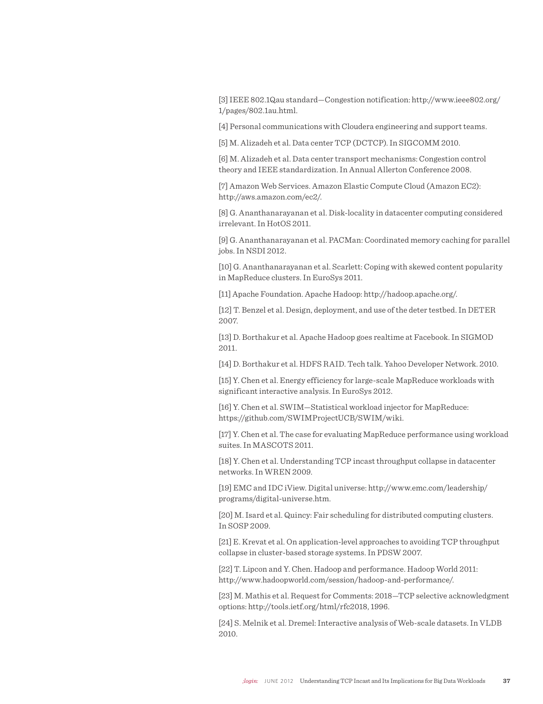[3] IEEE 802.1Qau standard—Congestion notification: http://www.ieee802.org/ 1/pages/802.1au.html.

[4] Personal communications with Cloudera engineering and support teams.

[5] M. Alizadeh et al. Data center TCP (DCTCP). In SIGCOMM 2010.

[6] M. Alizadeh et al. Data center transport mechanisms: Congestion control theory and IEEE standardization. In Annual Allerton Conference 2008.

[7] Amazon Web Services. Amazon Elastic Compute Cloud (Amazon EC2): http://aws.amazon.com/ec2/.

[8] G. Ananthanarayanan et al. Disk-locality in datacenter computing considered irrelevant. In HotOS 2011.

[9] G. Ananthanarayanan et al. PACMan: Coordinated memory caching for parallel jobs. In NSDI 2012.

[10] G. Ananthanarayanan et al. Scarlett: Coping with skewed content popularity in MapReduce clusters. In EuroSys 2011.

[11] Apache Foundation. Apache Hadoop: http://hadoop.apache.org/.

[12] T. Benzel et al. Design, deployment, and use of the deter testbed. In DETER 2007.

[13] D. Borthakur et al. Apache Hadoop goes realtime at Facebook. In SIGMOD 2011.

[14] D. Borthakur et al. HDFS RAID. Tech talk. Yahoo Developer Network. 2010.

[15] Y. Chen et al. Energy efficiency for large-scale MapReduce workloads with significant interactive analysis. In EuroSys 2012.

[16] Y. Chen et al. SWIM-Statistical workload injector for MapReduce: https://github.com/SWIMProjectUCB/SWIM/wiki.

[17] Y. Chen et al. The case for evaluating MapReduce performance using workload suites. In MASCOTS 2011.

[18] Y. Chen et al. Understanding TCP incast throughput collapse in datacenter networks. In WREN 2009.

[19] EMC and IDC iView. Digital universe: http://www.emc.com/leadership/ programs/digital-universe.htm.

[20] M. Isard et al. Quincy: Fair scheduling for distributed computing clusters. In SOSP 2009.

[21] E. Krevat et al. On application-level approaches to avoiding TCP throughput collapse in cluster-based storage systems. In PDSW 2007.

[22] T. Lipcon and Y. Chen. Hadoop and performance. Hadoop World 2011: http://www.hadoopworld.com/session/hadoop-and-performance/.

[23] M. Mathis et al. Request for Comments: 2018—TCP selective acknowledgment options: http://tools.ietf.org/html/rfc2018, 1996.

[24] S. Melnik et al. Dremel: Interactive analysis of Web-scale datasets. In VLDB 2010.